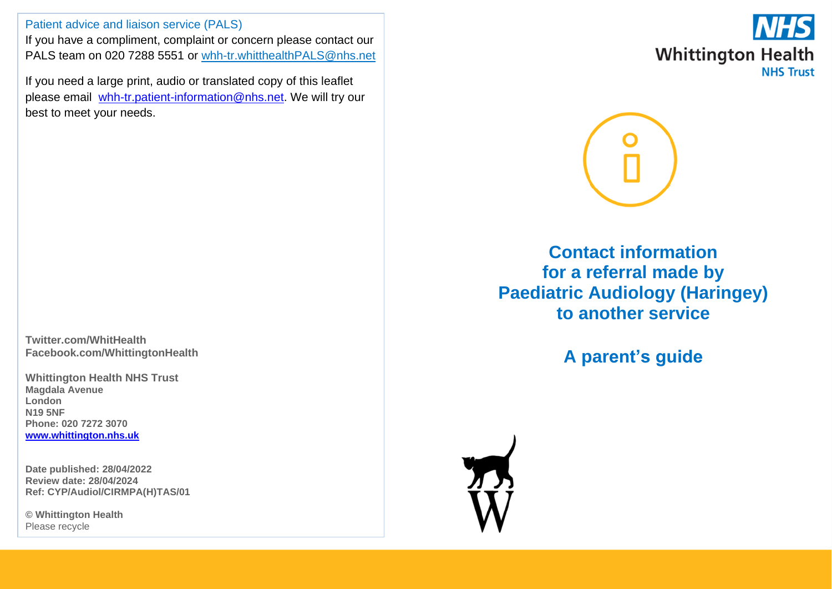Patient advice and liaison service (PALS)

If you have a compliment, complaint or concern please contact our PALS team on 020 7288 5551 or [whh-tr.whitthealthPALS@nhs.net](mailto:whh-tr.whitthealthPALS@nhs.net)

If you need a large print, audio or translated copy of this leaflet please email [whh-tr.patient-information@nhs.net.](mailto:whh-tr.patient-information@nhs.net) We will try our best to meet your needs.

**Twitter.com/WhitHealth Facebook.com/WhittingtonHealth**

**Whittington Health NHS Trust Magdala Avenue London N19 5NF Phone: 020 7272 3070 [www.whittington.nhs.uk](http://www.whittington.nhs.uk/)**

**Date published: 28/04/2022 Review date: 28/04/2024 Ref: CYP/Audiol/CIRMPA(H)TAS/01**

**© Whittington Health** Please recycle





**Contact information for a referral made by Paediatric Audiology (Haringey) to another service**

**A parent's guide**

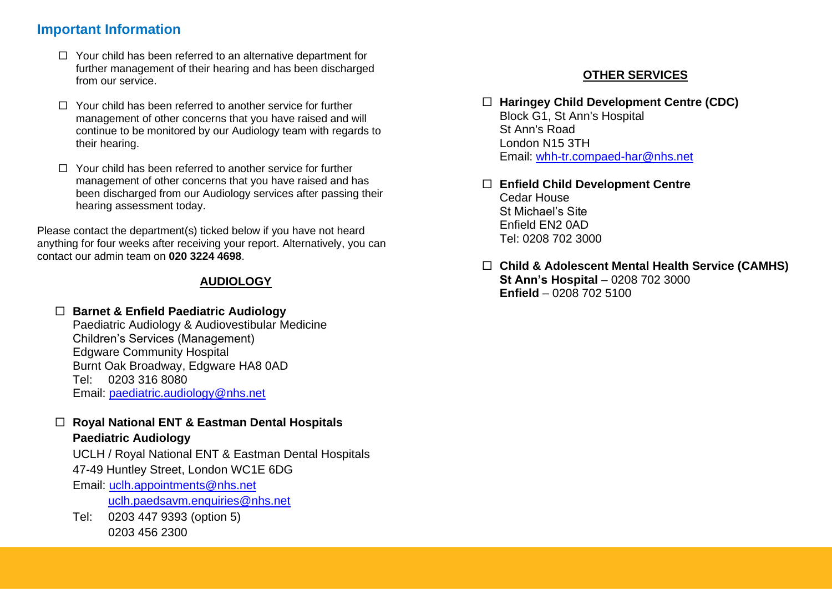# **Important Information**

- $\Box$  Your child has been referred to an alternative department for further management of their hearing and has been discharged from our service.
- $\Box$  Your child has been referred to another service for further management of other concerns that you have raised and will continue to be monitored by our Audiology team with regards to their hearing.
- $\Box$  Your child has been referred to another service for further management of other concerns that you have raised and has been discharged from our Audiology services after passing their hearing assessment today.

Please contact the department(s) ticked below if you have not heard anything for four weeks after receiving your report. Alternatively, you can contact our admin team on **020 3224 4698**.

# **AUDIOLOGY**

## **Barnet & Enfield Paediatric Audiology**

Paediatric Audiology & Audiovestibular Medicine Children's Services (Management) Edgware Community Hospital Burnt Oak Broadway, Edgware HA8 0AD Tel: 0203 316 8080 Email: [paediatric.audiology@nhs.net](mailto:paediatric.audiology@nhs.net)

### **Royal National ENT & Eastman Dental Hospitals Paediatric Audiology**

UCLH / Royal National ENT & Eastman Dental Hospitals

47-49 Huntley Street, London WC1E 6DG

Email: [uclh.appointments@nhs.net](mailto:uclh.appointments@nhs.net)

uclh.paedsaym.enquiries@nhs.net

Tel: 0203 447 9393 (option 5) 0203 456 2300

# **OTHER SERVICES**

### **Haringey Child Development Centre (CDC)**  Block G1, St Ann's Hospital St Ann's Road London N15 3TH Email: [whh-tr.compaed-har@nhs.net](mailto:whh-tr.compaed-har@nhs.net)

- **Enfield Child Development Centre** Cedar House St Michael's Site Enfield EN2 0AD Tel: 0208 702 3000
- **Child & Adolescent Mental Health Service (CAMHS) St Ann's Hospital** – 0208 702 3000 **Enfield** – 0208 702 5100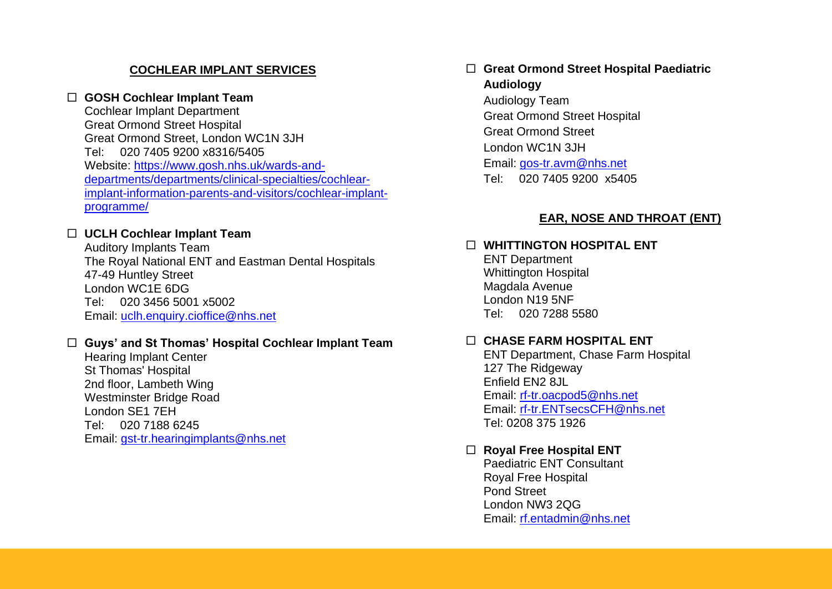# **COCHLEAR IMPLANT SERVICES**

## **GOSH Cochlear Implant Team**

Cochlear Implant Department Great Ormond Street Hospital Great Ormond Street, London WC1N 3JH Tel: 020 7405 9200 x8316/5405 Website: [https://www.gosh.nhs.uk/wards-and](https://www.gosh.nhs.uk/wards-and-departments/departments/clinical-specialties/cochlear-implant-information-parents-and-visitors/cochlear-implant-programme/)[departments/departments/clinical-specialties/cochlear](https://www.gosh.nhs.uk/wards-and-departments/departments/clinical-specialties/cochlear-implant-information-parents-and-visitors/cochlear-implant-programme/)[implant-information-parents-and-visitors/cochlear-implant](https://www.gosh.nhs.uk/wards-and-departments/departments/clinical-specialties/cochlear-implant-information-parents-and-visitors/cochlear-implant-programme/)[programme/](https://www.gosh.nhs.uk/wards-and-departments/departments/clinical-specialties/cochlear-implant-information-parents-and-visitors/cochlear-implant-programme/)

## **UCLH Cochlear Implant Team**

Auditory Implants Team The Royal National ENT and Eastman Dental Hospitals 47-49 Huntley Street London WC1E 6DG Tel: 020 3456 5001 x5002 Email: [uclh.enquiry.cioffice@nhs.net](mailto:uclh.enquiry.cioffice@nhs.net)

#### **Guys' and St Thomas' Hospital Cochlear Implant Team**

Hearing Implant Center St Thomas' Hospital 2nd floor, Lambeth Wing Westminster Bridge Road London SE1 7EH Tel: 020 7188 6245 Email: [gst-tr.hearingimplants@nhs.net](mailto:gst-tr.hearingimplants@nhs.net)

# **Great Ormond Street Hospital Paediatric Audiology** Audiology Team Great Ormond Street Hospital Great Ormond Street London WC1N 3JH Email: [gos-tr.avm@nhs.net](mailto:gos-tr.avm@nhs.net) Tel: 020 7405 9200 x5405

## **EAR, NOSE AND THROAT (ENT)**

# **WHITTINGTON HOSPITAL ENT**

ENT Department Whittington Hospital Magdala Avenue London N19 5NF Tel: 020 7288 5580

# **CHASE FARM HOSPITAL ENT**

ENT Department, Chase Farm Hospital 127 The Ridgeway Enfield EN2 8JL Email: [rf-tr.oacpod5@nhs.net](mailto:rf-tr.oacpod5@nhs.net) Email: [rf-tr.ENTsecsCFH@nhs.net](mailto:rf-tr.ENTsecsCFH@nhs.net) Tel: 0208 375 1926

# **Royal Free Hospital ENT**

Paediatric ENT Consultant Royal Free Hospital Pond Street London NW3 2QG Email: [rf.entadmin@nhs.net](mailto:rf.entadmin@nhs.net)